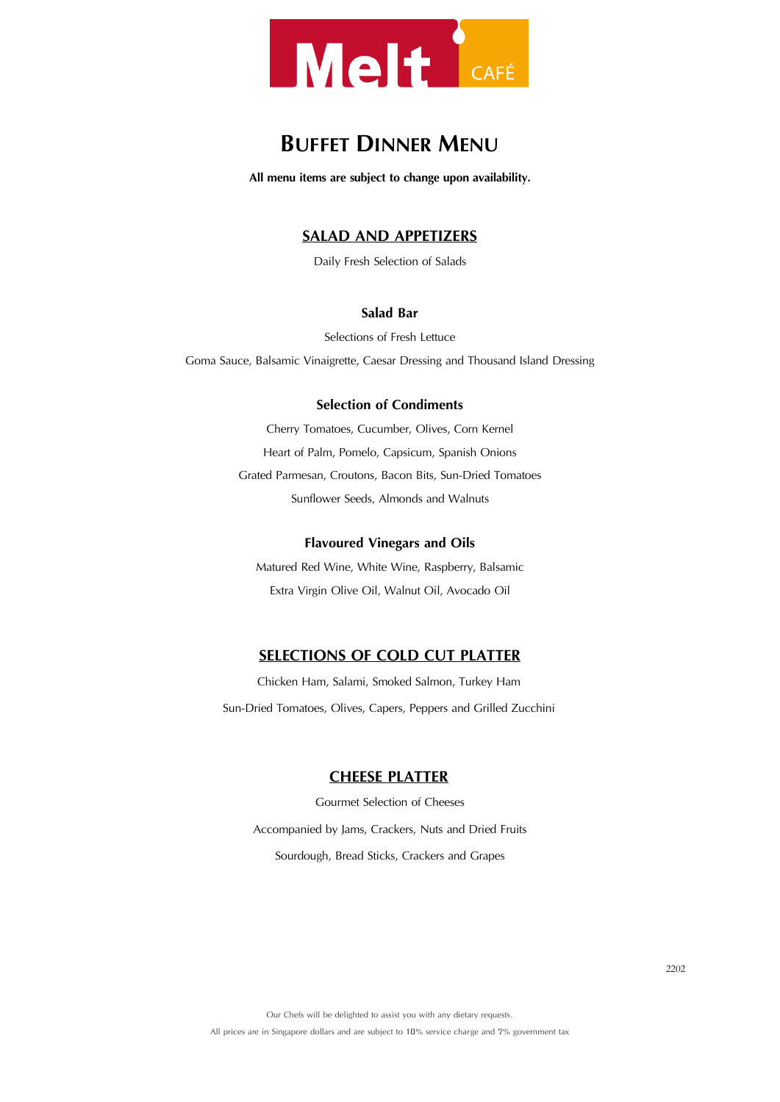

# **BUFFET DINNER MENU**

**All menu items are subject to change upon availability.**

# **SALAD AND APPETIZERS**

Daily Fresh Selection of Salads

# **Salad Bar**

Selections of Fresh Lettuce

Goma Sauce, Balsamic Vinaigrette, Caesar Dressing and Thousand Island Dressing

#### **Selection of Condiments**

Cherry Tomatoes, Cucumber, Olives, Corn Kernel Heart of Palm, Pomelo, Capsicum, Spanish Onions Grated Parmesan, Croutons, Bacon Bits, Sun-Dried Tomatoes Sunflower Seeds, Almonds and Walnuts

#### **Flavoured Vinegars and Oils**

Matured Red Wine, White Wine, Raspberry, Balsamic Extra Virgin Olive Oil, Walnut Oil, Avocado Oil

# **SELECTIONS OF COLD CUT PLATTER**

Chicken Ham, Salami, Smoked Salmon, Turkey Ham Sun-Dried Tomatoes, Olives, Capers, Peppers and Grilled Zucchini

### **CHEESE PLATTER**

Gourmet Selection of Cheeses Accompanied by Jams, Crackers, Nuts and Dried Fruits Sourdough, Bread Sticks, Crackers and Grapes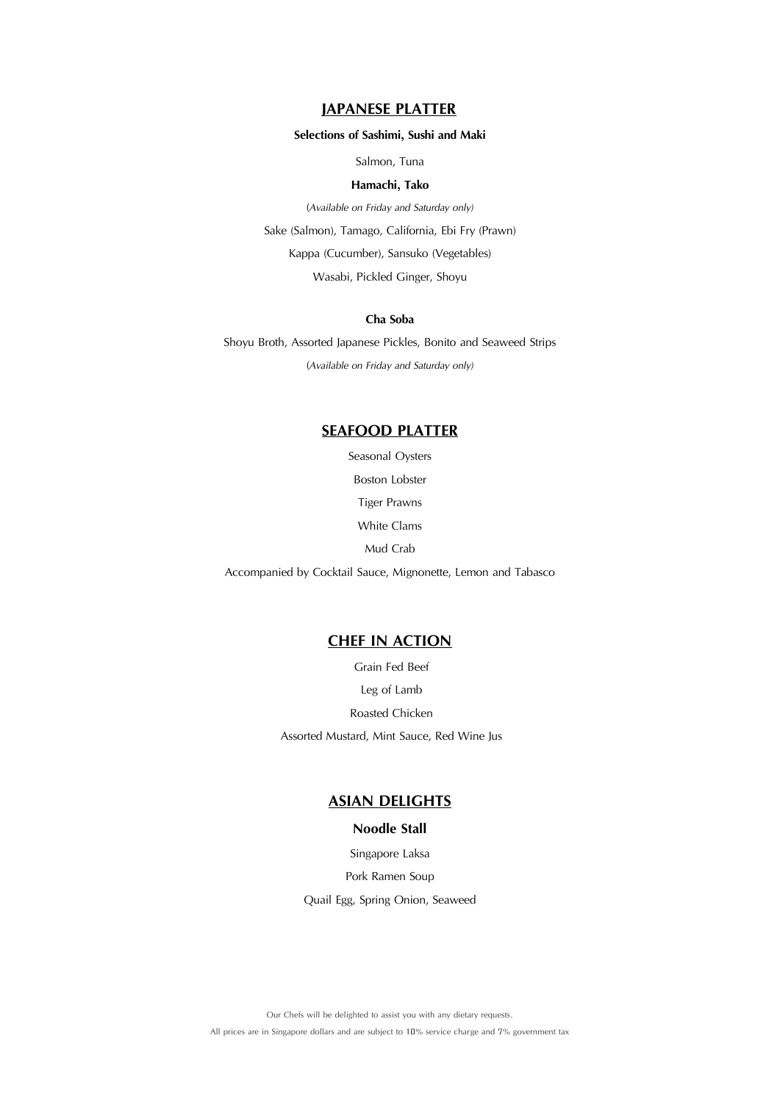# **JAPANESE PLATTER**

#### **Selections of Sashimi, Sushi and Maki**

Salmon, Tuna

#### **Hamachi, Tako**

(*Available on Friday and Saturday only)* Sake (Salmon), Tamago, California, Ebi Fry (Prawn) Kappa (Cucumber), Sansuko (Vegetables) Wasabi, Pickled Ginger, Shoyu

#### **Cha Soba**

Shoyu Broth, Assorted Japanese Pickles, Bonito and Seaweed Strips (*Available on Friday and Saturday only)*

## **SEAFOOD PLATTER**

Seasonal Oysters

Boston Lobster

Tiger Prawns

White Clams

Mud Crab

Accompanied by Cocktail Sauce, Mignonette, Lemon and Tabasco

# **CHEF IN ACTION**

Grain Fed Beef Leg of Lamb Roasted Chicken Assorted Mustard, Mint Sauce, Red Wine Jus

# **ASIAN DELIGHTS**

## **Noodle Stall**

Singapore Laksa Pork Ramen Soup Quail Egg, Spring Onion, Seaweed

Our Chefs will be delighted to assist you with any dietary requests. All prices are in Singapore dollars and are subject to 10% service charge and 7% government tax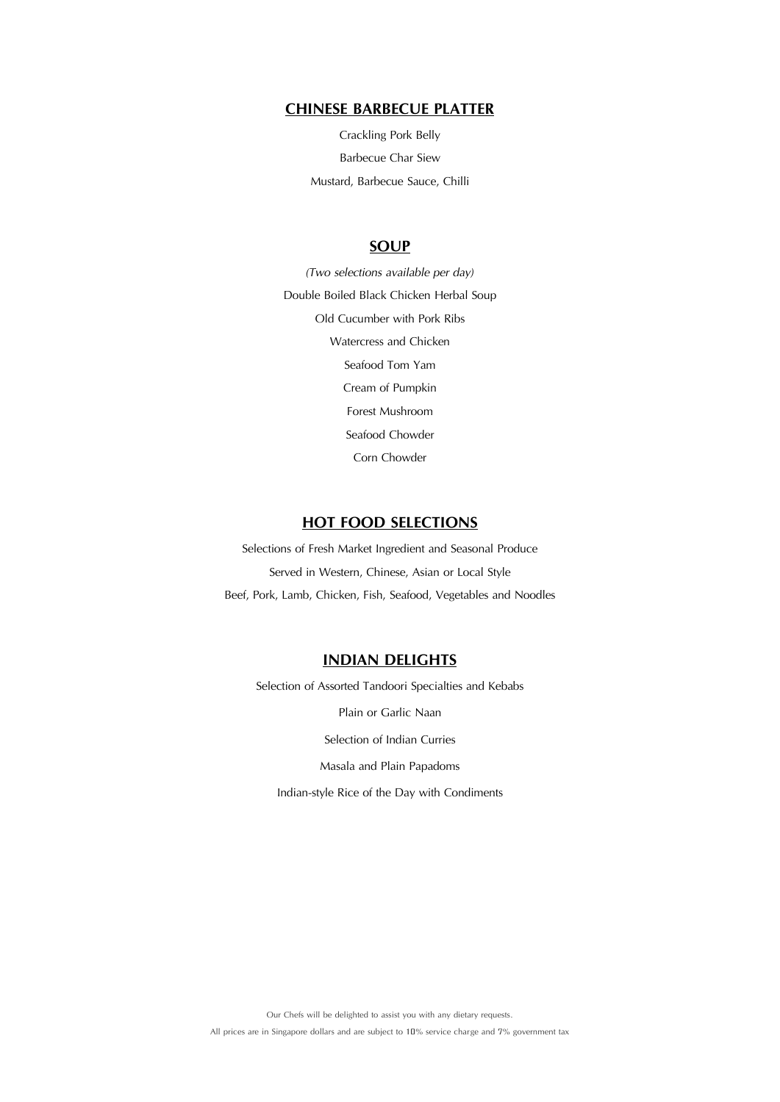## **CHINESE BARBECUE PLATTER**

Crackling Pork Belly Barbecue Char Siew Mustard, Barbecue Sauce, Chilli

## **SOUP**

*(Two selections available per day)*  Double Boiled Black Chicken Herbal Soup Old Cucumber with Pork Ribs Watercress and Chicken Seafood Tom Yam Cream of Pumpkin Forest Mushroom Seafood Chowder Corn Chowder

# **HOT FOOD SELECTIONS**

Selections of Fresh Market Ingredient and Seasonal Produce Served in Western, Chinese, Asian or Local Style Beef, Pork, Lamb, Chicken, Fish, Seafood, Vegetables and Noodles

# **INDIAN DELIGHTS**

Selection of Assorted Tandoori Specialties and Kebabs Plain or Garlic Naan Selection of Indian Curries Masala and Plain Papadoms Indian-style Rice of the Day with Condiments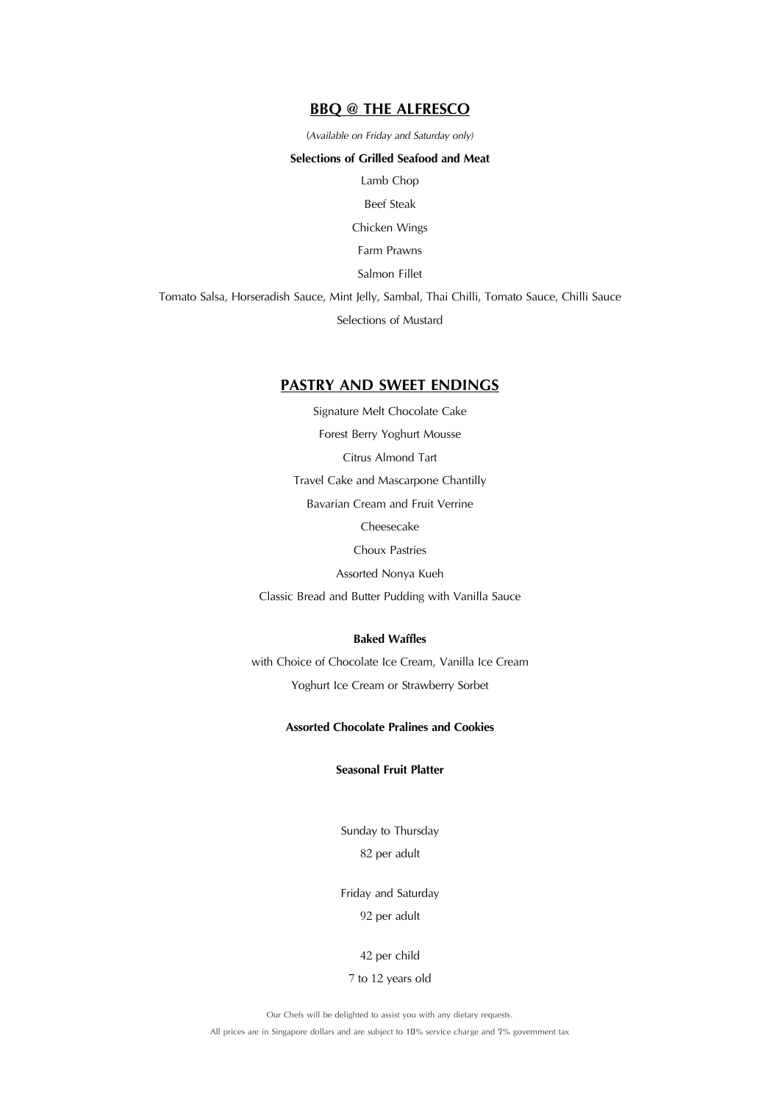## **BBQ @ THE ALFRESCO**

(*Available on Friday and Saturday only)*

#### **Selections of Grilled Seafood and Meat**

Lamb Chop

Beef Steak

Chicken Wings

Farm Prawns

Salmon Fillet

Tomato Salsa, Horseradish Sauce, Mint Jelly, Sambal, Thai Chilli, Tomato Sauce, Chilli Sauce Selections of Mustard

#### **PASTRY AND SWEET ENDINGS**

Signature Melt Chocolate Cake Forest Berry Yoghurt Mousse Citrus Almond Tart Travel Cake and Mascarpone Chantilly Bavarian Cream and Fruit Verrine Cheesecake Choux Pastries Assorted Nonya Kueh Classic Bread and Butter Pudding with Vanilla Sauce

## **Baked Waffles**

with Choice of Chocolate Ice Cream, Vanilla Ice Cream Yoghurt Ice Cream or Strawberry Sorbet

#### **Assorted Chocolate Pralines and Cookies**

## **Seasonal Fruit Platter**

Sunday to Thursday 82 per adult

Friday and Saturday

#### 92 per adult

42 per child

#### 7 to 12 years old

Our Chefs will be delighted to assist you with any dietary requests.

All prices are in Singapore dollars and are subject to 10% service charge and 7% government tax